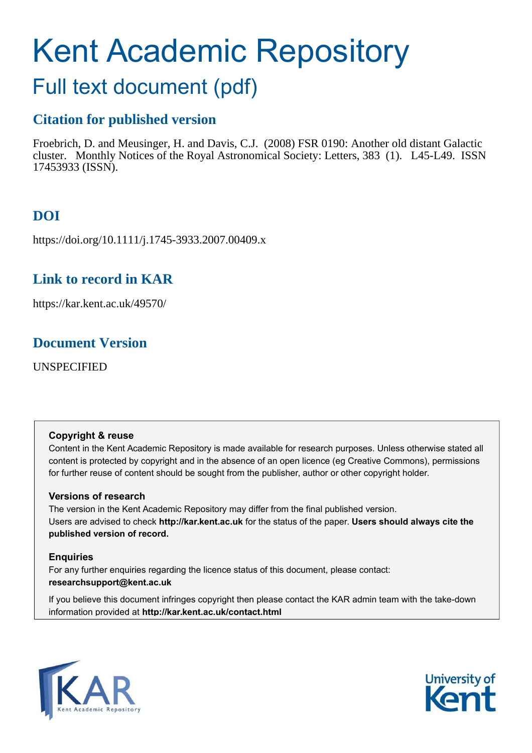# Kent Academic Repository

# Full text document (pdf)

# **Citation for published version**

Froebrich, D. and Meusinger, H. and Davis, C.J. (2008) FSR 0190: Another old distant Galactic cluster. Monthly Notices of the Royal Astronomical Society: Letters, 383 (1). L45-L49. ISSN 17453933 (ISSN).

# **DOI**

https://doi.org/10.1111/j.1745-3933.2007.00409.x

# **Link to record in KAR**

https://kar.kent.ac.uk/49570/

# **Document Version**

UNSPECIFIED

# **Copyright & reuse**

Content in the Kent Academic Repository is made available for research purposes. Unless otherwise stated all content is protected by copyright and in the absence of an open licence (eg Creative Commons), permissions for further reuse of content should be sought from the publisher, author or other copyright holder.

# **Versions of research**

The version in the Kent Academic Repository may differ from the final published version. Users are advised to check **http://kar.kent.ac.uk** for the status of the paper. **Users should always cite the published version of record.**

# **Enquiries**

For any further enquiries regarding the licence status of this document, please contact: **researchsupport@kent.ac.uk**

If you believe this document infringes copyright then please contact the KAR admin team with the take-down information provided at **http://kar.kent.ac.uk/contact.html**



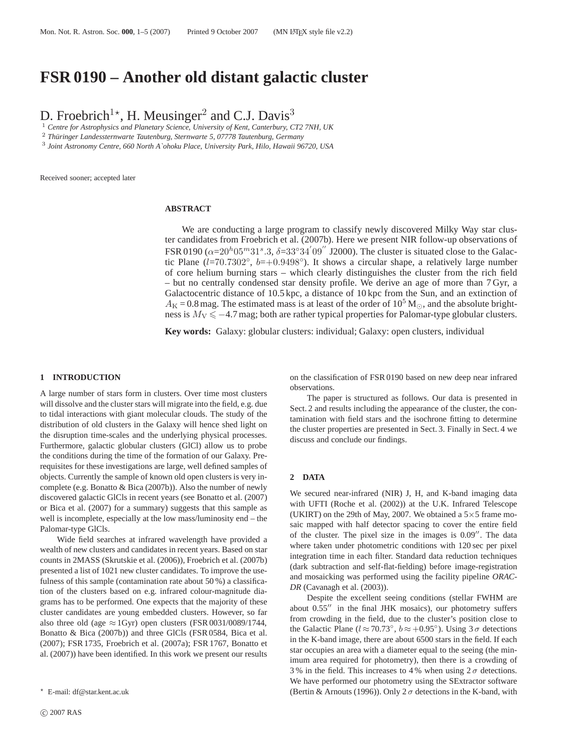# **FSR 0190 – Another old distant galactic cluster**

D. Froebrich<sup>1\*</sup>, H. Meusinger<sup>2</sup> and C.J. Davis<sup>3</sup>

<sup>1</sup> *Centre for Astrophysics and Planetary Science, University of Kent, Canterbury, CT2 7NH, UK*

<sup>2</sup> Thüringer Landessternwarte Tautenburg, Sternwarte 5, 07778 Tautenburg, Germany

3 *Joint Astronomy Centre, 660 North A`ohoku Place, University Park, Hilo, Hawaii 96720, USA*

Received sooner; accepted later

#### **ABSTRACT**

We are conducting a large program to classify newly discovered Milky Way star cluster candidates from Froebrich et al. (2007b). Here we present NIR follow-up observations of FSR 0190 ( $\alpha = 20^h 05^m 31^s.3$ ,  $\delta = 33^\circ 34' 09''$  J2000). The cluster is situated close to the Galactic Plane  $(l=70.7302°, b=+0.9498°)$ . It shows a circular shape, a relatively large number of core helium burning stars – which clearly distinguishes the cluster from the rich field – but no centrally condensed star density profile. We derive an age of more than 7 Gyr, a Galactocentric distance of 10.5 kpc, a distance of 10 kpc from the Sun, and an extinction of  $A<sub>K</sub> = 0.8$  mag. The estimated mass is at least of the order of 10<sup>5</sup> M<sub>☉</sub>, and the absolute brightness is  $M_V \le -4.7$  mag; both are rather typical properties for Palomar-type globular clusters.

**Key words:** Galaxy: globular clusters: individual; Galaxy: open clusters, individual

#### **1 INTRODUCTION**

A large number of stars form in clusters. Over time most clusters will dissolve and the cluster stars will migrate into the field, e.g. due to tidal interactions with giant molecular clouds. The study of the distribution of old clusters in the Galaxy will hence shed light on the disruption time-scales and the underlying physical processes. Furthermore, galactic globular clusters (GlCl) allow us to probe the conditions during the time of the formation of our Galaxy. Prerequisites for these investigations are large, well defined samples of objects. Currently the sample of known old open clusters is very incomplete (e.g. Bonatto & Bica (2007b)). Also the number of newly discovered galactic GlCls in recent years (see Bonatto et al. (2007) or Bica et al. (2007) for a summary) suggests that this sample as well is incomplete, especially at the low mass/luminosity end – the Palomar-type GlCls.

Wide field searches at infrared wavelength have provided a wealth of new clusters and candidates in recent years. Based on star counts in 2MASS (Skrutskie et al. (2006)), Froebrich et al. (2007b) presented a list of 1021 new cluster candidates. To improve the usefulness of this sample (contamination rate about 50 %) a classification of the clusters based on e.g. infrared colour-magnitude diagrams has to be performed. One expects that the majority of these cluster candidates are young embedded clusters. However, so far also three old (age  $\approx 1$ Gyr) open clusters (FSR 0031/0089/1744, Bonatto & Bica (2007b)) and three GlCls (FSR 0584, Bica et al. (2007); FSR 1735, Froebrich et al. (2007a); FSR 1767, Bonatto et al. (2007)) have been identified. In this work we present our results on the classification of FSR 0190 based on new deep near infrared observations.

The paper is structured as follows. Our data is presented in Sect. 2 and results including the appearance of the cluster, the contamination with field stars and the isochrone fitting to determine the cluster properties are presented in Sect. 3. Finally in Sect. 4 we discuss and conclude our findings.

#### **2 DATA**

We secured near-infrared (NIR) J, H, and K-band imaging data with UFTI (Roche et al. (2002)) at the U.K. Infrared Telescope (UKIRT) on the 29th of May, 2007. We obtained a  $5\times 5$  frame mosaic mapped with half detector spacing to cover the entire field of the cluster. The pixel size in the images is 0.09′′. The data where taken under photometric conditions with 120 sec per pixel integration time in each filter. Standard data reduction techniques (dark subtraction and self-flat-fielding) before image-registration and mosaicking was performed using the facility pipeline *ORAC-DR* (Cavanagh et al. (2003)).

Despite the excellent seeing conditions (stellar FWHM are about 0.55′′ in the final JHK mosaics), our photometry suffers from crowding in the field, due to the cluster's position close to the Galactic Plane ( $l \approx 70.73^\circ$ ,  $b \approx +0.95^\circ$ ). Using  $3\sigma$  detections in the K-band image, there are about 6500 stars in the field. If each star occupies an area with a diameter equal to the seeing (the minimum area required for photometry), then there is a crowding of 3% in the field. This increases to 4% when using  $2\sigma$  detections. We have performed our photometry using the SExtractor software (Bertin & Arnouts (1996)). Only  $2\sigma$  detections in the K-band, with

<sup>⋆</sup> E-mail: df@star.kent.ac.uk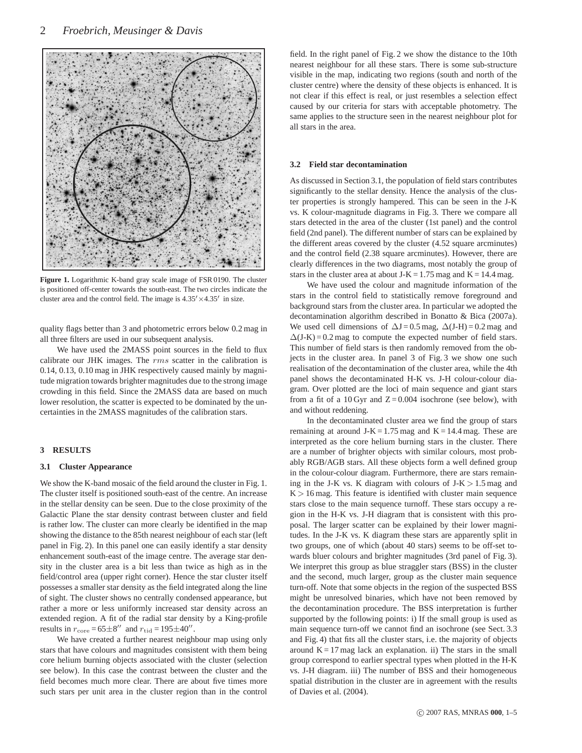

**Figure 1.** Logarithmic K-band gray scale image of FSR 0190. The cluster is positioned off-center towards the south-east. The two circles indicate the cluster area and the control field. The image is  $4.35' \times 4.35'$  in size.

quality flags better than 3 and photometric errors below 0.2 mag in all three filters are used in our subsequent analysis.

We have used the 2MASS point sources in the field to flux calibrate our JHK images. The rms scatter in the calibration is 0.14, 0.13, 0.10 mag in JHK respectively caused mainly by magnitude migration towards brighter magnitudes due to the strong image crowding in this field. Since the 2MASS data are based on much lower resolution, the scatter is expected to be dominated by the uncertainties in the 2MASS magnitudes of the calibration stars.

#### **3 RESULTS**

#### **3.1 Cluster Appearance**

We show the K-band mosaic of the field around the cluster in Fig. 1. The cluster itself is positioned south-east of the centre. An increase in the stellar density can be seen. Due to the close proximity of the Galactic Plane the star density contrast between cluster and field is rather low. The cluster can more clearly be identified in the map showing the distance to the 85th nearest neighbour of each star (left panel in Fig. 2). In this panel one can easily identify a star density enhancement south-east of the image centre. The average star density in the cluster area is a bit less than twice as high as in the field/control area (upper right corner). Hence the star cluster itself possesses a smaller star density as the field integrated along the line of sight. The cluster shows no centrally condensed appearance, but rather a more or less uniformly increased star density across an extended region. A fit of the radial star density by a King-profile results in  $r_{\text{core}} = 65 \pm 8''$  and  $r_{\text{tid}} = 195 \pm 40''$ .

We have created a further nearest neighbour map using only stars that have colours and magnitudes consistent with them being core helium burning objects associated with the cluster (selection see below). In this case the contrast between the cluster and the field becomes much more clear. There are about five times more such stars per unit area in the cluster region than in the control field. In the right panel of Fig. 2 we show the distance to the 10th nearest neighbour for all these stars. There is some sub-structure visible in the map, indicating two regions (south and north of the cluster centre) where the density of these objects is enhanced. It is not clear if this effect is real, or just resembles a selection effect caused by our criteria for stars with acceptable photometry. The same applies to the structure seen in the nearest neighbour plot for all stars in the area.

#### **3.2 Field star decontamination**

As discussed in Section 3.1, the population of field stars contributes significantly to the stellar density. Hence the analysis of the cluster properties is strongly hampered. This can be seen in the J-K vs. K colour-magnitude diagrams in Fig. 3. There we compare all stars detected in the area of the cluster (1st panel) and the control field (2nd panel). The different number of stars can be explained by the different areas covered by the cluster (4.52 square arcminutes) and the control field (2.38 square arcminutes). However, there are clearly differences in the two diagrams, most notably the group of stars in the cluster area at about  $J-K = 1.75$  mag and  $K = 14.4$  mag.

We have used the colour and magnitude information of the stars in the control field to statistically remove foreground and background stars from the cluster area. In particular we adopted the decontamination algorithm described in Bonatto & Bica (2007a). We used cell dimensions of  $\Delta J = 0.5$  mag,  $\Delta (J-H) = 0.2$  mag and  $\Delta$ (J-K) = 0.2 mag to compute the expected number of field stars. This number of field stars is then randomly removed from the objects in the cluster area. In panel 3 of Fig. 3 we show one such realisation of the decontamination of the cluster area, while the 4th panel shows the decontaminated H-K vs. J-H colour-colour diagram. Over plotted are the loci of main sequence and giant stars from a fit of a 10 Gyr and  $Z = 0.004$  isochrone (see below), with and without reddening.

In the decontaminated cluster area we find the group of stars remaining at around  $J-K = 1.75$  mag and  $K = 14.4$  mag. These are interpreted as the core helium burning stars in the cluster. There are a number of brighter objects with similar colours, most probably RGB/AGB stars. All these objects form a well defined group in the colour-colour diagram. Furthermore, there are stars remaining in the J-K vs. K diagram with colours of  $J-K > 1.5$  mag and  $K > 16$  mag. This feature is identified with cluster main sequence stars close to the main sequence turnoff. These stars occupy a region in the H-K vs. J-H diagram that is consistent with this proposal. The larger scatter can be explained by their lower magnitudes. In the J-K vs. K diagram these stars are apparently split in two groups, one of which (about 40 stars) seems to be off-set towards bluer colours and brighter magnitudes (3rd panel of Fig. 3). We interpret this group as blue straggler stars (BSS) in the cluster and the second, much larger, group as the cluster main sequence turn-off. Note that some objects in the region of the suspected BSS might be unresolved binaries, which have not been removed by the decontamination procedure. The BSS interpretation is further supported by the following points: i) If the small group is used as main sequence turn-off we cannot find an isochrone (see Sect. 3.3 and Fig. 4) that fits all the cluster stars, i.e. the majority of objects around  $K = 17$  mag lack an explanation. ii) The stars in the small group correspond to earlier spectral types when plotted in the H-K vs. J-H diagram. iii) The number of BSS and their homogeneous spatial distribution in the cluster are in agreement with the results of Davies et al. (2004).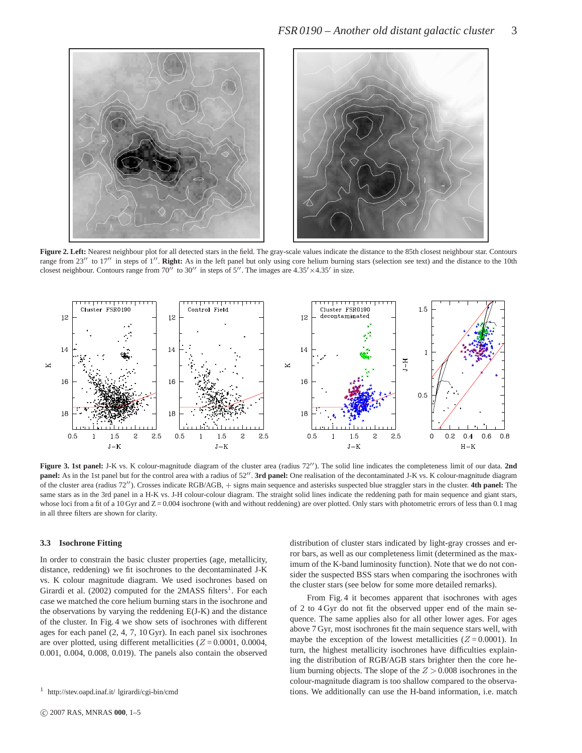

**Figure 2. Left:** Nearest neighbour plot for all detected stars in the field. The gray-scale values indicate the distance to the 85th closest neighbour star. Contours range from 23<sup>''</sup> to 17<sup>''</sup> in steps of 1''. **Right:** As in the left panel but only using core helium burning stars (selection see text) and the distance to the 10th closest neighbour. Contours range from  $70''$  to  $30''$  in steps of  $5''$ . The images are  $4.35' \times 4.35'$  in size.



**Figure 3. 1st panel:** J-K vs. K colour-magnitude diagram of the cluster area (radius 72′′). The solid line indicates the completeness limit of our data. **2nd** panel: As in the 1st panel but for the control area with a radius of 52". 3rd panel: One realisation of the decontaminated J-K vs. K colour-magnitude diagram of the cluster area (radius 72′′). Crosses indicate RGB/AGB, + signs main sequence and asterisks suspected blue straggler stars in the cluster. **4th panel:** The same stars as in the 3rd panel in a H-K vs. J-H colour-colour diagram. The straight solid lines indicate the reddening path for main sequence and giant stars, whose loci from a fit of a 10 Gyr and  $Z = 0.004$  isochrone (with and without reddening) are over plotted. Only stars with photometric errors of less than 0.1 mag in all three filters are shown for clarity.

#### **3.3 Isochrone Fitting**

In order to constrain the basic cluster properties (age, metallicity, distance, reddening) we fit isochrones to the decontaminated J-K vs. K colour magnitude diagram. We used isochrones based on Girardi et al.  $(2002)$  computed for the 2MASS filters<sup>1</sup>. For each case we matched the core helium burning stars in the isochrone and the observations by varying the reddening E(J-K) and the distance of the cluster. In Fig. 4 we show sets of isochrones with different ages for each panel (2, 4, 7, 10 Gyr). In each panel six isochrones are over plotted, using different metallicities  $(Z = 0.0001, 0.0004,$ 0.001, 0.004, 0.008, 0.019). The panels also contain the observed distribution of cluster stars indicated by light-gray crosses and error bars, as well as our completeness limit (determined as the maximum of the K-band luminosity function). Note that we do not consider the suspected BSS stars when comparing the isochrones with the cluster stars (see below for some more detailed remarks).

From Fig. 4 it becomes apparent that isochrones with ages of 2 to 4 Gyr do not fit the observed upper end of the main sequence. The same applies also for all other lower ages. For ages above 7 Gyr, most isochrones fit the main sequence stars well, with maybe the exception of the lowest metallicities ( $Z = 0.0001$ ). In turn, the highest metallicity isochrones have difficulties explaining the distribution of RGB/AGB stars brighter then the core helium burning objects. The slope of the  $Z > 0.008$  isochrones in the colour-magnitude diagram is too shallow compared to the observations. We additionally can use the H-band information, i.e. match

<sup>1</sup> http://stev.oapd.inaf.it/ lgirardi/cgi-bin/cmd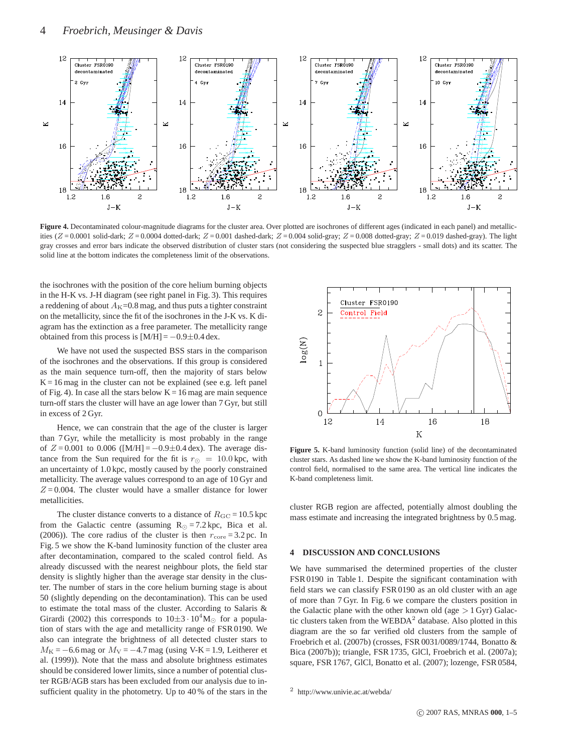

Figure 4. Decontaminated colour-magnitude diagrams for the cluster area. Over plotted are isochrones of different ages (indicated in each panel) and metallicities  $(Z = 0.0001$  solid-dark;  $Z = 0.0004$  dotted-dark;  $Z = 0.001$  dashed-dark;  $Z = 0.004$  solid-gray;  $Z = 0.008$  dotted-gray;  $Z = 0.019$  dashed-gray). The light gray crosses and error bars indicate the observed distribution of cluster stars (not considering the suspected blue stragglers - small dots) and its scatter. The solid line at the bottom indicates the completeness limit of the observations.

the isochrones with the position of the core helium burning objects in the H-K vs. J-H diagram (see right panel in Fig. 3). This requires a reddening of about  $A<sub>K</sub>=0.8$  mag, and thus puts a tighter constraint on the metallicity, since the fit of the isochrones in the J-K vs. K diagram has the extinction as a free parameter. The metallicity range obtained from this process is  $[M/H] = -0.9 \pm 0.4$  dex.

We have not used the suspected BSS stars in the comparison of the isochrones and the observations. If this group is considered as the main sequence turn-off, then the majority of stars below  $K = 16$  mag in the cluster can not be explained (see e.g. left panel of Fig. 4). In case all the stars below  $K = 16$  mag are main sequence turn-off stars the cluster will have an age lower than 7 Gyr, but still in excess of 2 Gyr.

Hence, we can constrain that the age of the cluster is larger than 7 Gyr, while the metallicity is most probably in the range of  $Z = 0.001$  to 0.006 ([M/H] = -0.9±0.4 dex). The average distance from the Sun required for the fit is  $r_{\odot} = 10.0$  kpc, with an uncertainty of 1.0 kpc, mostly caused by the poorly constrained metallicity. The average values correspond to an age of 10 Gyr and  $Z = 0.004$ . The cluster would have a smaller distance for lower metallicities.

The cluster distance converts to a distance of  $R_{\text{GC}} = 10.5 \text{ kpc}$ from the Galactic centre (assuming  $R_{\odot} = 7.2$  kpc, Bica et al. (2006)). The core radius of the cluster is then  $r_{\text{core}} = 3.2 \text{ pc}$ . In Fig. 5 we show the K-band luminosity function of the cluster area after decontamination, compared to the scaled control field. As already discussed with the nearest neighbour plots, the field star density is slightly higher than the average star density in the cluster. The number of stars in the core helium burning stage is about 50 (slightly depending on the decontamination). This can be used to estimate the total mass of the cluster. According to Salaris & Girardi (2002) this corresponds to  $10\pm3.10^4 M_{\odot}$  for a population of stars with the age and metallicity range of FSR 0190. We also can integrate the brightness of all detected cluster stars to  $M<sub>K</sub> = -6.6$  mag or  $M<sub>V</sub> = -4.7$  mag (using V-K = 1.9, Leitherer et al. (1999)). Note that the mass and absolute brightness estimates should be considered lower limits, since a number of potential cluster RGB/AGB stars has been excluded from our analysis due to insufficient quality in the photometry. Up to 40 % of the stars in the



**Figure 5.** K-band luminosity function (solid line) of the decontaminated cluster stars. As dashed line we show the K-band luminosity function of the control field, normalised to the same area. The vertical line indicates the K-band completeness limit.

cluster RGB region are affected, potentially almost doubling the mass estimate and increasing the integrated brightness by 0.5 mag.

#### **4 DISCUSSION AND CONCLUSIONS**

We have summarised the determined properties of the cluster FSR 0190 in Table 1. Despite the significant contamination with field stars we can classify FSR 0190 as an old cluster with an age of more than 7 Gyr. In Fig. 6 we compare the clusters position in the Galactic plane with the other known old (age  $> 1$  Gyr) Galactic clusters taken from the WEBDA<sup>2</sup> database. Also plotted in this diagram are the so far verified old clusters from the sample of Froebrich et al. (2007b) (crosses, FSR 0031/0089/1744, Bonatto & Bica (2007b)); triangle, FSR 1735, GlCl, Froebrich et al. (2007a); square, FSR 1767, GlCl, Bonatto et al. (2007); lozenge, FSR 0584,

<sup>2</sup> http://www.univie.ac.at/webda/